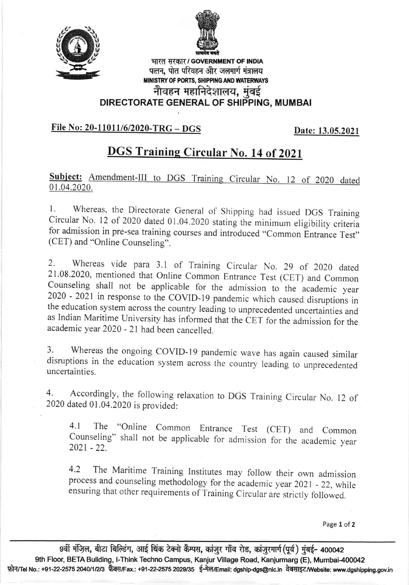



भारत सरकार / GOVERNMENT OF INDIA पत्तन, पोत परिवहन और जलमार्ग मंत्रालय MINISTRY OF PORTS, SHIPPING AND WATERWAYS नौवहन महानिदेशालय, मुंबई

## DIRECTORATE GENERAL OF SHIPPING, MUMBAI

## File No: 20-11011/6/2020-TRG - DGS

Date: 13.05.2021

## DGS Training Circular No. 14 of 2021

Subject: Amendment-III to DGS Training Circular No. 12 of 2020 dated 01.04.2020.

1. Whereas, the Directorate General of Shipping had issued DGS Training Circular No. 12 of 2020 dated 01.04.2020 stating the minimum eligibility criteria for admission in pre-sea training courses and introduced "Common Entrance Test" (CET) and "Online Counseling".

2. Whereas vide para 3.1 of Training Circular No. 29 of 2020 dated 21.08.2020, mentioned that Online Common Entrance Test (CET) and Common Counseling shall not be applicable for the admission to the academic year <sup>2020</sup>- 2021 in response to the coVID-19 pandemic which caused disruptions in the education system across the country leading to unprecedented uncertainties and as Indian Maritime University has informed that the CET for the admission for the academic year 2020 - 21 had been cancelled.

3. whereas the ongoing covlD-I9 pandemic wave has again caused similar disruptions in the education system across the country leading to unprecedented uncertainties.

4. Accordingly, the following relaxation to DGS Training Circular No. 12 of 2020 dated 01.04.2020 is provided:

4.1 The "Online Common Entrance Test (CET) and Common Counseling" shall not be applicable for admission for the academic year  $2021 - 22$ 

4.2 The Maritime Training Institutes may follow their own admission process and counseling methodology for the academic year 2021 - 22, while ensuring that other requirements of Training Circular are strictly followed.

Page 1 of 2

9वीं मंज़िल, बीटा बिल्डिंग, आई थिंक टेक्नो कैम्पस, कांजुर गाँव रोड, कांजुरमार्ग (पूर्व) मुंबई- 400042 9th Floor, BETA Building, I-Think Techno Campus, Kanjur Village Road, Kanjurmarg (E), Mumbai-400042 फ़ोन/Tel No.: +91-22-2575 2040/1/2/3 फ़ैक्स/Fax.: +91-22-2575 2029/35 ई-मेल/Email: dgship-dgs@nic.in वेबसाइट/Website: www.dgshipping.gov.in